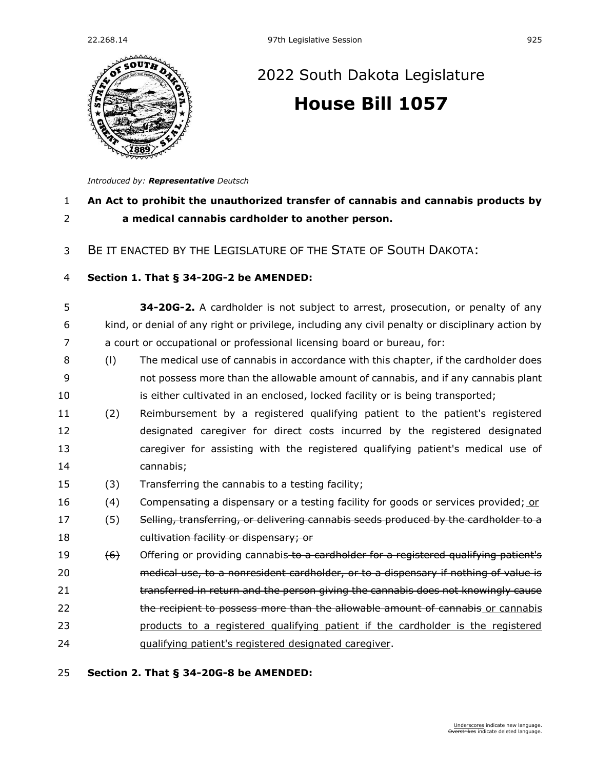

# [2022 South Dakota Legislature](https://sdlegislature.gov/Session/Bills/64) **[House Bill 1057](https://sdlegislature.gov/Session/Bill/22826)**

*Introduced by: Representative [Deutsch](https://sdlegislature.gov/Legislators/Profile/3931/Detail)*

# **An Act to prohibit the unauthorized transfer of cannabis and cannabis products by a medical cannabis cardholder to another person.**

BE IT ENACTED BY THE LEGISLATURE OF THE STATE OF SOUTH DAKOTA:

#### **Section 1. [That § 34-20G-2 be AMENDED:](https://sdlegislature.gov/Statutes?Statute=34-20G-2)**

 **[34-20G-2.](https://sdlegislature.gov/Statutes?Statute=34-20G-2)** A cardholder is not subject to arrest, prosecution, or penalty of any kind, or denial of any right or privilege, including any civil penalty or disciplinary action by a court or occupational or professional licensing board or bureau, for:

- (l) The medical use of cannabis in accordance with this chapter, if the cardholder does not possess more than the allowable amount of cannabis, and if any cannabis plant 10 is either cultivated in an enclosed, locked facility or is being transported;
- (2) Reimbursement by a registered qualifying patient to the patient's registered designated caregiver for direct costs incurred by the registered designated caregiver for assisting with the registered qualifying patient's medical use of cannabis;
- (3) Transferring the cannabis to a testing facility;
- 16 (4) Compensating a dispensary or a testing facility for goods or services provided; or
- 17 (5) Selling, transferring, or delivering cannabis seeds produced by the cardholder to a cultivation facility or dispensary; or
- 19 (6) Offering or providing cannabis-to a cardholder for a registered qualifying patient's medical use, to a nonresident cardholder, or to a dispensary if nothing of value is **transferred in return and the person giving the cannabis does not knowingly cause** 22 the recipient to possess more than the allowable amount of cannabis or cannabis
- products to a registered qualifying patient if the cardholder is the registered
- qualifying patient's registered designated caregiver.

### **Section 2. [That § 34-20G-8 be AMENDED:](https://sdlegislature.gov/Statutes?Statute=34-20G-8)**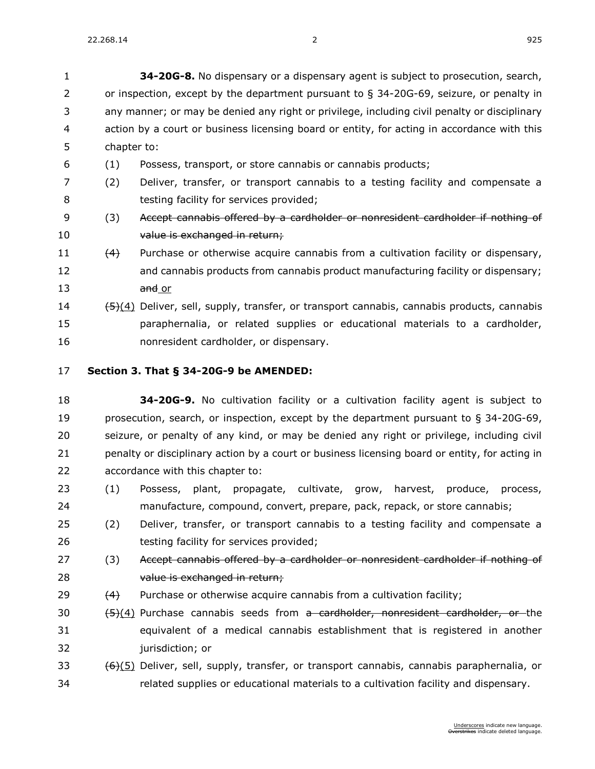| 1            | 34-20G-8. No dispensary or a dispensary agent is subject to prosecution, search,             |
|--------------|----------------------------------------------------------------------------------------------|
| $\mathbf{2}$ | or inspection, except by the department pursuant to $\S$ 34-20G-69, seizure, or penalty in   |
| 3.           | any manner; or may be denied any right or privilege, including civil penalty or disciplinary |
| 4            | action by a court or business licensing board or entity, for acting in accordance with this  |
| 5.           | chapter to:                                                                                  |
|              |                                                                                              |

- (1) Possess, transport, or store cannabis or cannabis products;
- (2) Deliver, transfer, or transport cannabis to a testing facility and compensate a **Section** testing facility for services provided;
- 9 (3) Accept cannabis offered by a cardholder or nonresident cardholder if nothing of 10 value is exchanged in return;
- (4) Purchase or otherwise acquire cannabis from a cultivation facility or dispensary, and cannabis products from cannabis product manufacturing facility or dispensary; 13 and or
- (5)(4) Deliver, sell, supply, transfer, or transport cannabis, cannabis products, cannabis paraphernalia, or related supplies or educational materials to a cardholder, nonresident cardholder, or dispensary.
- **Section 3. [That § 34-20G-9 be AMENDED:](https://sdlegislature.gov/Statutes?Statute=34-20G-9)**
- **[34-20G-9.](https://sdlegislature.gov/Statutes?Statute=34-20G-9)** No cultivation facility or a cultivation facility agent is subject to prosecution, search, or inspection, except by the department pursuant to § [34-20G-69,](https://sdlegislature.gov/Statutes?Statute=34-20G-69) seizure, or penalty of any kind, or may be denied any right or privilege, including civil 21 penalty or disciplinary action by a court or business licensing board or entity, for acting in accordance with this chapter to:
- (1) Possess, plant, propagate, cultivate, grow, harvest, produce, process, manufacture, compound, convert, prepare, pack, repack, or store cannabis;
- (2) Deliver, transfer, or transport cannabis to a testing facility and compensate a 26 testing facility for services provided;
- 27 (3) Accept cannabis offered by a cardholder or nonresident cardholder if nothing of value is exchanged in return;
- 29  $(4)$  Purchase or otherwise acquire cannabis from a cultivation facility;
- 30  $(5)(4)$  Purchase cannabis seeds from a cardholder, nonresident cardholder, or the equivalent of a medical cannabis establishment that is registered in another **jurisdiction**; or
- $(6)(5)$  Deliver, sell, supply, transfer, or transport cannabis, cannabis paraphernalia, or related supplies or educational materials to a cultivation facility and dispensary.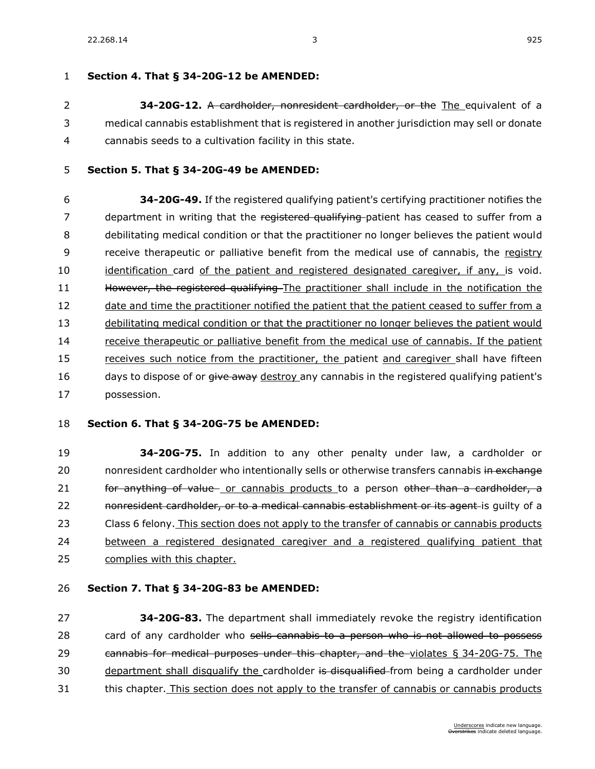# **Section 4. [That § 34-20G-12 be AMENDED:](https://sdlegislature.gov/Statutes?Statute=34-20G-12)**

 **[34-20G-12.](https://sdlegislature.gov/Statutes?Statute=34-20G-12)** A cardholder, nonresident cardholder, or the The equivalent of a medical cannabis establishment that is registered in another jurisdiction may sell or donate cannabis seeds to a cultivation facility in this state.

## **Section 5. [That § 34-20G-49 be AMENDED:](https://sdlegislature.gov/Statutes?Statute=34-20G-49)**

 **[34-20G-49.](https://sdlegislature.gov/Statutes?Statute=34-20G-49)** If the registered qualifying patient's certifying practitioner notifies the 7 department in writing that the registered qualifying patient has ceased to suffer from a debilitating medical condition or that the practitioner no longer believes the patient would receive therapeutic or palliative benefit from the medical use of cannabis, the registry identification card of the patient and registered designated caregiver, if any, is void. 11 However, the registered qualifying The practitioner shall include in the notification the 12 date and time the practitioner notified the patient that the patient ceased to suffer from a debilitating medical condition or that the practitioner no longer believes the patient would receive therapeutic or palliative benefit from the medical use of cannabis. If the patient receives such notice from the practitioner, the patient and caregiver shall have fifteen 16 days to dispose of or  $\frac{div}{dx}$  destroy any cannabis in the registered qualifying patient's possession.

## **Section 6. [That § 34-20G-75 be AMENDED:](https://sdlegislature.gov/Statutes?Statute=34-20G-75)**

 **[34-20G-75.](https://sdlegislature.gov/Statutes?Statute=34-20G-75)** In addition to any other penalty under law, a cardholder or 20 nonresident cardholder who intentionally sells or otherwise transfers cannabis in exchange 21 for anything of value or cannabis products to a person other than a cardholder, a **nonresident cardholder, or to a medical cannabis establishment or its agent-** is quilty of a Class 6 felony. This section does not apply to the transfer of cannabis or cannabis products between a registered designated caregiver and a registered qualifying patient that complies with this chapter.

# **Section 7. [That § 34-20G-83 be AMENDED:](https://sdlegislature.gov/Statutes?Statute=34-20G-83)**

 **[34-20G-83.](https://sdlegislature.gov/Statutes?Statute=34-20G-83)** The department shall immediately revoke the registry identification 28 card of any cardholder who sells cannabis to a person who is not allowed to possess cannabis for medical purposes under this chapter, and the violates § [34-20G-75.](https://sdlegislature.gov/Statutes?Statute=34-20G-75) The 30 department shall disqualify the cardholder is disqualified from being a cardholder under 31 this chapter. This section does not apply to the transfer of cannabis or cannabis products